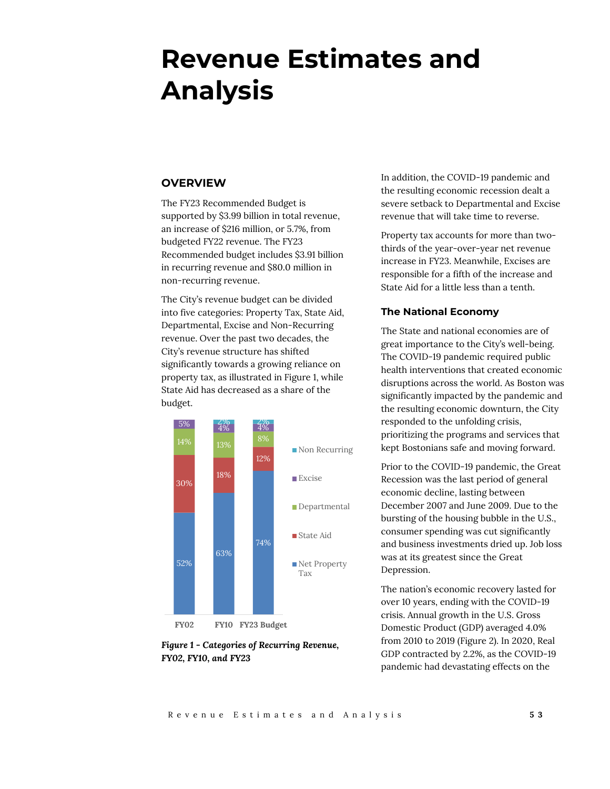# **Revenue Estimates and Analysis**

# **OVERVIEW**

The FY23 Recommended Budget is supported by \$3.99 billion in total revenue, an increase of \$216 million, or 5.7%, from budgeted FY22 revenue. The FY23 Recommended budget includes \$3.91 billion in recurring revenue and \$80.0 million in non-recurring revenue.

The City's revenue budget can be divided into five categories: Property Tax, State Aid, Departmental, Excise and Non-Recurring revenue. Over the past two decades, the City's revenue structure has shifted significantly towards a growing reliance on property tax, as illustrated in Figure 1, while State Aid has decreased as a share of the budget.



*Figure 1 - Categories of Recurring Revenue, FY02, FY10, and FY23*

In addition, the COVID-19 pandemic and the resulting economic recession dealt a severe setback to Departmental and Excise revenue that will take time to reverse.

Property tax accounts for more than twothirds of the year-over-year net revenue increase in FY23. Meanwhile, Excises are responsible for a fifth of the increase and State Aid for a little less than a tenth.

# **The National Economy**

The State and national economies are of great importance to the City's well-being. The COVID-19 pandemic required public health interventions that created economic disruptions across the world. As Boston was significantly impacted by the pandemic and the resulting economic downturn, the City responded to the unfolding crisis, prioritizing the programs and services that kept Bostonians safe and moving forward.

Prior to the COVID-19 pandemic, the Great Recession was the last period of general economic decline, lasting between December 2007 and June 2009. Due to the bursting of the housing bubble in the U.S., consumer spending was cut significantly and business investments dried up. Job loss was at its greatest since the Great Depression.

The nation's economic recovery lasted for over 10 years, ending with the COVID-19 crisis. Annual growth in the U.S. Gross Domestic Product (GDP) averaged 4.0% from 2010 to 2019 (Figure 2). In 2020, Real GDP contracted by 2.2%, as the COVID-19 pandemic had devastating effects on the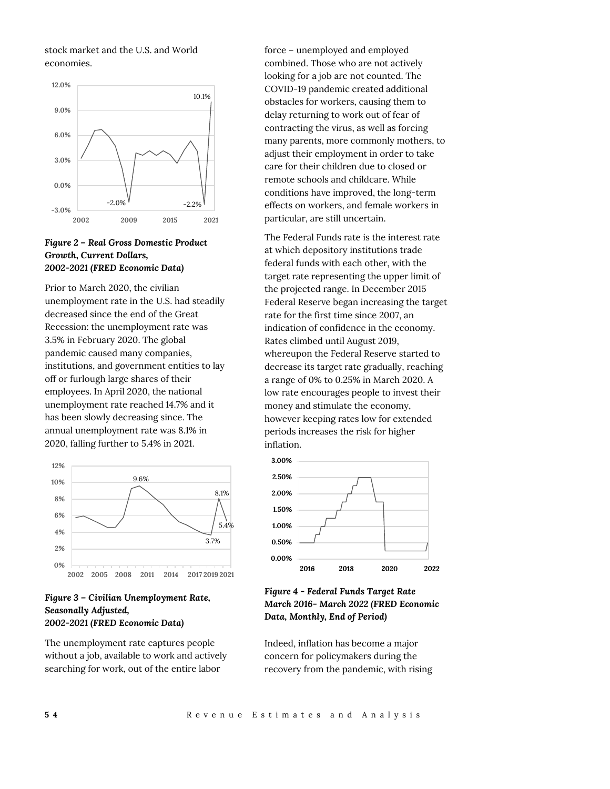stock market and the U.S. and World economies.



# *Figure 2 – Real Gross Domestic Product Growth, Current Dollars, 2002-2021 (FRED Economic Data)*

Prior to March 2020, the civilian unemployment rate in the U.S. had steadily decreased since the end of the Great Recession: the unemployment rate was 3.5% in February 2020. The global pandemic caused many companies, institutions, and government entities to lay off or furlough large shares of their employees. In April 2020, the national unemployment rate reached 14.7% and it has been slowly decreasing since. The annual unemployment rate was 8.1% in 2020, falling further to 5.4% in 2021.



# *Figure 3 – Civilian Unemployment Rate, Seasonally Adjusted, 2002-2021 (FRED Economic Data)*

The unemployment rate captures people without a job, available to work and actively searching for work, out of the entire labor

force – unemployed and employed combined. Those who are not actively looking for a job are not counted. The COVID-19 pandemic created additional obstacles for workers, causing them to delay returning to work out of fear of contracting the virus, as well as forcing many parents, more commonly mothers, to adjust their employment in order to take care for their children due to closed or remote schools and childcare. While conditions have improved, the long-term effects on workers, and female workers in particular, are still uncertain.

The Federal Funds rate is the interest rate at which depository institutions trade federal funds with each other, with the target rate representing the upper limit of the projected range. In December 2015 Federal Reserve began increasing the target rate for the first time since 2007, an indication of confidence in the economy. Rates climbed until August 2019, whereupon the Federal Reserve started to decrease its target rate gradually, reaching a range of 0% to 0.25% in March 2020. A low rate encourages people to invest their money and stimulate the economy, however keeping rates low for extended periods increases the risk for higher inflation.



# *Figure 4 - Federal Funds Target Rate March 2016- March 2022 (FRED Economic Data, Monthly, End of Period)*

Indeed, inflation has become a major concern for policymakers during the recovery from the pandemic, with rising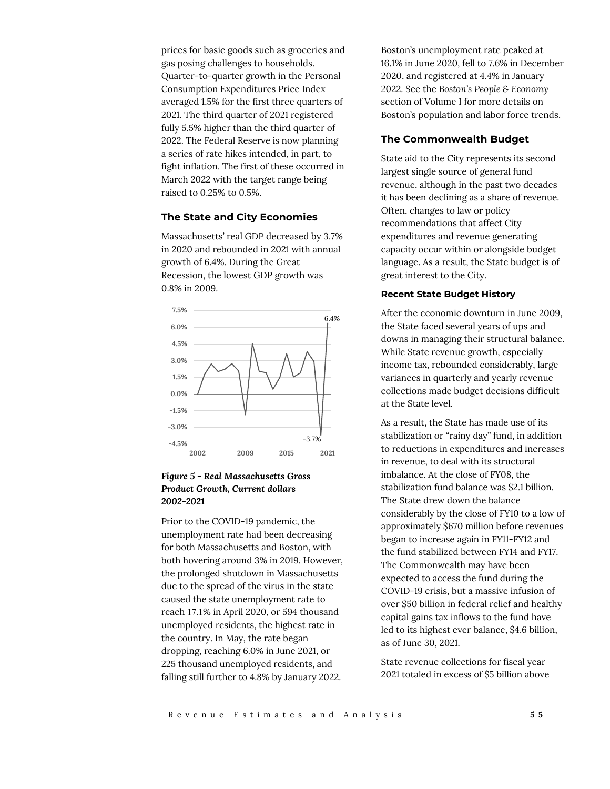prices for basic goods such as groceries and gas posing challenges to households. Quarter-to-quarter growth in the Personal Consumption Expenditures Price Index averaged 1.5% for the first three quarters of 2021. The third quarter of 2021 registered fully 5.5% higher than the third quarter of 2022. The Federal Reserve is now planning a series of rate hikes intended, in part, to fight inflation. The first of these occurred in March 2022 with the target range being raised to 0.25% to 0.5%.

#### **The State and City Economies**

Massachusetts' real GDP decreased by 3.7% in 2020 and rebounded in 2021 with annual growth of 6.4%. During the Great Recession, the lowest GDP growth was 0.8% in 2009.



# *Figure 5 - Real Massachusetts Gross Product Growth, Current dollars 2002-2021*

Prior to the COVID-19 pandemic, the unemployment rate had been decreasing for both Massachusetts and Boston, with both hovering around 3% in 2019. However, the prolonged shutdown in Massachusetts due to the spread of the virus in the state caused the state unemployment rate to reach 17.1% in April 2020, or 594 thousand unemployed residents, the highest rate in the country. In May, the rate began dropping, reaching 6.0% in June 2021, or 225 thousand unemployed residents, and falling still further to 4.8% by January 2022.

Boston's unemployment rate peaked at 16.1% in June 2020, fell to 7.6% in December 2020, and registered at 4.4% in January 2022. See the *Boston's People & Economy*  section of Volume I for more details on Boston's population and labor force trends.

#### **The Commonwealth Budget**

State aid to the City represents its second largest single source of general fund revenue, although in the past two decades it has been declining as a share of revenue. Often, changes to law or policy recommendations that affect City expenditures and revenue generating capacity occur within or alongside budget language. As a result, the State budget is of great interest to the City.

#### **Recent State Budget History**

After the economic downturn in June 2009, the State faced several years of ups and downs in managing their structural balance. While State revenue growth, especially income tax, rebounded considerably, large variances in quarterly and yearly revenue collections made budget decisions difficult at the State level.

As a result, the State has made use of its stabilization or "rainy day" fund, in addition to reductions in expenditures and increases in revenue, to deal with its structural imbalance. At the close of FY08, the stabilization fund balance was \$2.1 billion. The State drew down the balance considerably by the close of FY10 to a low of approximately \$670 million before revenues began to increase again in FY11-FY12 and the fund stabilized between FY14 and FY17. The Commonwealth may have been expected to access the fund during the COVID-19 crisis, but a massive infusion of over \$50 billion in federal relief and healthy capital gains tax inflows to the fund have led to its highest ever balance, \$4.6 billion, as of June 30, 2021.

State revenue collections for fiscal year 2021 totaled in excess of \$5 billion above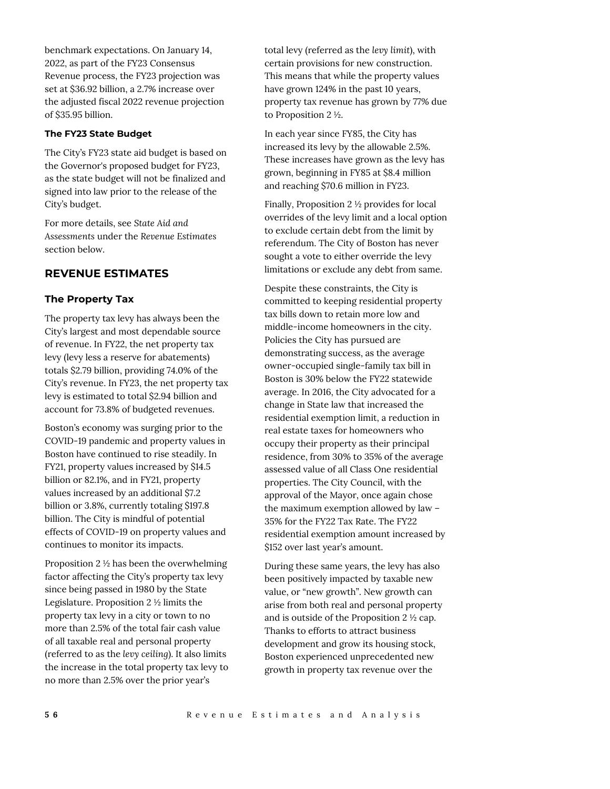benchmark expectations. On January 14, 2022, as part of the FY23 Consensus Revenue process, the FY23 projection was set at \$36.92 billion, a 2.7% increase over the adjusted fiscal 2022 revenue projection of \$35.95 billion.

#### **The FY23 State Budget**

The City's FY23 state aid budget is based on the Governor's proposed budget for FY23, as the state budget will not be finalized and signed into law prior to the release of the City's budget.

For more details, see *State Aid and Assessments* under the *Revenue Estimates* section below.

# **REVENUE ESTIMATES**

## **The Property Tax**

The property tax levy has always been the City's largest and most dependable source of revenue. In FY22, the net property tax levy (levy less a reserve for abatements) totals \$2.79 billion, providing 74.0% of the City's revenue. In FY23, the net property tax levy is estimated to total \$2.94 billion and account for 73.8% of budgeted revenues.

Boston's economy was surging prior to the COVID-19 pandemic and property values in Boston have continued to rise steadily. In FY21, property values increased by \$14.5 billion or 82.1%, and in FY21, property values increased by an additional \$7.2 billion or 3.8%, currently totaling \$197.8 billion. The City is mindful of potential effects of COVID-19 on property values and continues to monitor its impacts.

Proposition 2 ½ has been the overwhelming factor affecting the City's property tax levy since being passed in 1980 by the State Legislature. Proposition 2 ½ limits the property tax levy in a city or town to no more than 2.5% of the total fair cash value of all taxable real and personal property (referred to as the *levy ceiling*). It also limits the increase in the total property tax levy to no more than 2.5% over the prior year's

total levy (referred as the *levy limit*), with certain provisions for new construction. This means that while the property values have grown 124% in the past 10 years, property tax revenue has grown by 77% due to Proposition 2 ½.

In each year since FY85, the City has increased its levy by the allowable 2.5%. These increases have grown as the levy has grown, beginning in FY85 at \$8.4 million and reaching \$70.6 million in FY23.

Finally, Proposition 2 ½ provides for local overrides of the levy limit and a local option to exclude certain debt from the limit by referendum. The City of Boston has never sought a vote to either override the levy limitations or exclude any debt from same.

Despite these constraints, the City is committed to keeping residential property tax bills down to retain more low and middle-income homeowners in the city. Policies the City has pursued are demonstrating success, as the average owner-occupied single-family tax bill in Boston is 30% below the FY22 statewide average. In 2016, the City advocated for a change in State law that increased the residential exemption limit, a reduction in real estate taxes for homeowners who occupy their property as their principal residence, from 30% to 35% of the average assessed value of all Class One residential properties. The City Council, with the approval of the Mayor, once again chose the maximum exemption allowed by law – 35% for the FY22 Tax Rate. The FY22 residential exemption amount increased by \$152 over last year's amount.

During these same years, the levy has also been positively impacted by taxable new value, or "new growth". New growth can arise from both real and personal property and is outside of the Proposition 2 ½ cap. Thanks to efforts to attract business development and grow its housing stock, Boston experienced unprecedented new growth in property tax revenue over the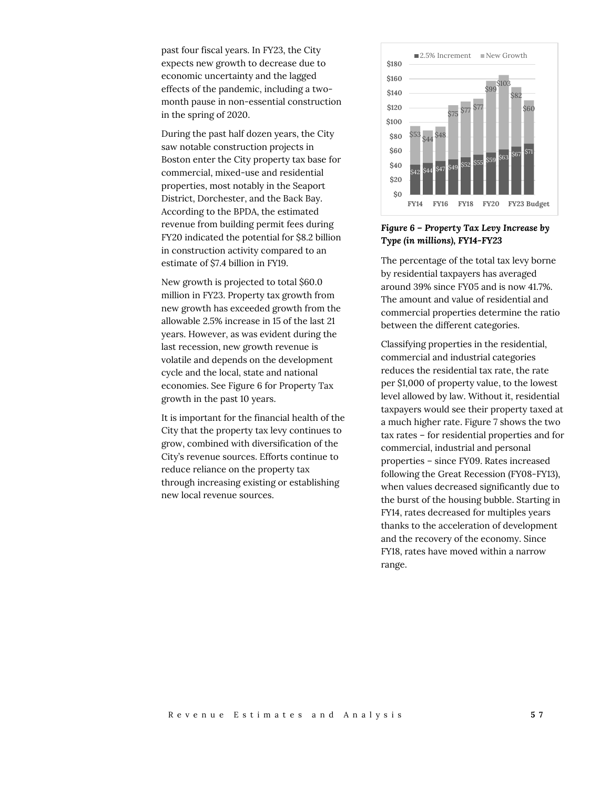past four fiscal years. In FY23, the City expects new growth to decrease due to economic uncertainty and the lagged effects of the pandemic, including a twomonth pause in non-essential construction in the spring of 2020.

During the past half dozen years, the City saw notable construction projects in Boston enter the City property tax base for commercial, mixed-use and residential properties, most notably in the Seaport District, Dorchester, and the Back Bay. According to the BPDA, the estimated revenue from building permit fees during FY20 indicated the potential for \$8.2 billion in construction activity compared to an estimate of \$7.4 billion in FY19.

New growth is projected to total \$60.0 million in FY23. Property tax growth from new growth has exceeded growth from the allowable 2.5% increase in 15 of the last 21 years. However, as was evident during the last recession, new growth revenue is volatile and depends on the development cycle and the local, state and national economies. See Figure 6 for Property Tax growth in the past 10 years.

It is important for the financial health of the City that the property tax levy continues to grow, combined with diversification of the City's revenue sources. Efforts continue to reduce reliance on the property tax through increasing existing or establishing new local revenue sources.



*Figure 6 – Property Tax Levy Increase by Type (in millions), FY14-FY23*

The percentage of the total tax levy borne by residential taxpayers has averaged around 39% since FY05 and is now 41.7%. The amount and value of residential and commercial properties determine the ratio between the different categories.

Classifying properties in the residential, commercial and industrial categories reduces the residential tax rate, the rate per \$1,000 of property value, to the lowest level allowed by law. Without it, residential taxpayers would see their property taxed at a much higher rate. Figure 7 shows the two tax rates – for residential properties and for commercial, industrial and personal properties – since FY09. Rates increased following the Great Recession (FY08-FY13), when values decreased significantly due to the burst of the housing bubble. Starting in FY14, rates decreased for multiples years thanks to the acceleration of development and the recovery of the economy. Since FY18, rates have moved within a narrow range.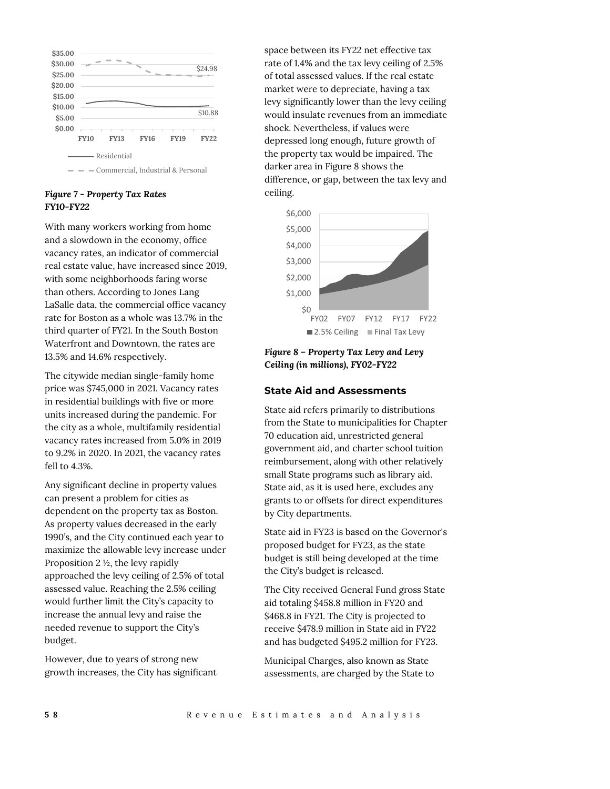

# *Figure 7 - Property Tax Rates FY10-FY22*

With many workers working from home and a slowdown in the economy, office vacancy rates, an indicator of commercial real estate value, have increased since 2019, with some neighborhoods faring worse than others. According to Jones Lang LaSalle data, the commercial office vacancy rate for Boston as a whole was 13.7% in the third quarter of FY21. In the South Boston Waterfront and Downtown, the rates are 13.5% and 14.6% respectively.

The citywide median single-family home price was \$745,000 in 2021. Vacancy rates in residential buildings with five or more units increased during the pandemic. For the city as a whole, multifamily residential vacancy rates increased from 5.0% in 2019 to 9.2% in 2020. In 2021, the vacancy rates fell to 4.3%.

Any significant decline in property values can present a problem for cities as dependent on the property tax as Boston. As property values decreased in the early 1990's, and the City continued each year to maximize the allowable levy increase under Proposition 2 ½, the levy rapidly approached the levy ceiling of 2.5% of total assessed value. Reaching the 2.5% ceiling would further limit the City's capacity to increase the annual levy and raise the needed revenue to support the City's budget.

However, due to years of strong new growth increases, the City has significant space between its FY22 net effective tax rate of 1.4% and the tax levy ceiling of 2.5% of total assessed values. If the real estate market were to depreciate, having a tax levy significantly lower than the levy ceiling would insulate revenues from an immediate shock. Nevertheless, if values were depressed long enough, future growth of the property tax would be impaired. The darker area in Figure 8 shows the difference, or gap, between the tax levy and ceiling.



*Figure 8 – Property Tax Levy and Levy Ceiling (in millions), FY02-FY22*

# **State Aid and Assessments**

State aid refers primarily to distributions from the State to municipalities for Chapter 70 education aid, unrestricted general government aid, and charter school tuition reimbursement, along with other relatively small State programs such as library aid. State aid, as it is used here, excludes any grants to or offsets for direct expenditures by City departments.

State aid in FY23 is based on the Governor's proposed budget for FY23, as the state budget is still being developed at the time the City's budget is released.

The City received General Fund gross State aid totaling \$458.8 million in FY20 and \$468.8 in FY21. The City is projected to receive \$478.9 million in State aid in FY22 and has budgeted \$495.2 million for FY23.

Municipal Charges, also known as State assessments, are charged by the State to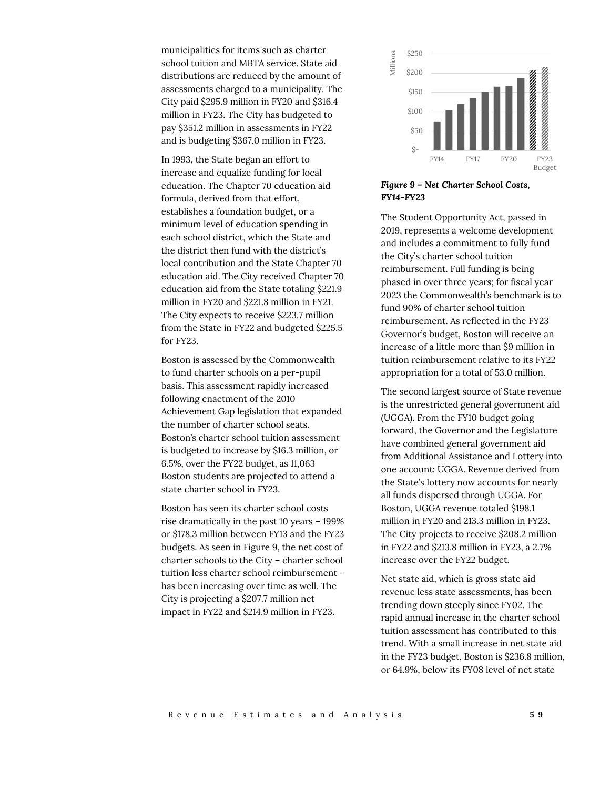municipalities for items such as charter school tuition and MBTA service. State aid distributions are reduced by the amount of assessments charged to a municipality. The City paid \$295.9 million in FY20 and \$316.4 million in FY23. The City has budgeted to pay \$351.2 million in assessments in FY22 and is budgeting \$367.0 million in FY23.

In 1993, the State began an effort to increase and equalize funding for local education. The Chapter 70 education aid formula, derived from that effort, establishes a foundation budget, or a minimum level of education spending in each school district, which the State and the district then fund with the district's local contribution and the State Chapter 70 education aid. The City received Chapter 70 education aid from the State totaling \$221.9 million in FY20 and \$221.8 million in FY21. The City expects to receive \$223.7 million from the State in FY22 and budgeted \$225.5 for FY23.

Boston is assessed by the Commonwealth to fund charter schools on a per-pupil basis. This assessment rapidly increased following enactment of the 2010 Achievement Gap legislation that expanded the number of charter school seats. Boston's charter school tuition assessment is budgeted to increase by \$16.3 million, or 6.5%, over the FY22 budget, as 11,063 Boston students are projected to attend a state charter school in FY23.

Boston has seen its charter school costs rise dramatically in the past 10 years – 199% or \$178.3 million between FY13 and the FY23 budgets. As seen in Figure 9, the net cost of charter schools to the City – charter school tuition less charter school reimbursement – has been increasing over time as well. The City is projecting a \$207.7 million net impact in FY22 and \$214.9 million in FY23.



#### *Figure 9 – Net Charter School Costs, FY14-FY23*

The Student Opportunity Act, passed in 2019, represents a welcome development and includes a commitment to fully fund the City's charter school tuition reimbursement. Full funding is being phased in over three years; for fiscal year 2023 the Commonwealth's benchmark is to fund 90% of charter school tuition reimbursement. As reflected in the FY23 Governor's budget, Boston will receive an increase of a little more than \$9 million in tuition reimbursement relative to its FY22 appropriation for a total of 53.0 million.

The second largest source of State revenue is the unrestricted general government aid (UGGA). From the FY10 budget going forward, the Governor and the Legislature have combined general government aid from Additional Assistance and Lottery into one account: UGGA. Revenue derived from the State's lottery now accounts for nearly all funds dispersed through UGGA. For Boston, UGGA revenue totaled \$198.1 million in FY20 and 213.3 million in FY23. The City projects to receive \$208.2 million in FY22 and \$213.8 million in FY23, a 2.7% increase over the FY22 budget.

Net state aid, which is gross state aid revenue less state assessments, has been trending down steeply since FY02. The rapid annual increase in the charter school tuition assessment has contributed to this trend. With a small increase in net state aid in the FY23 budget, Boston is \$236.8 million, or 64.9%, below its FY08 level of net state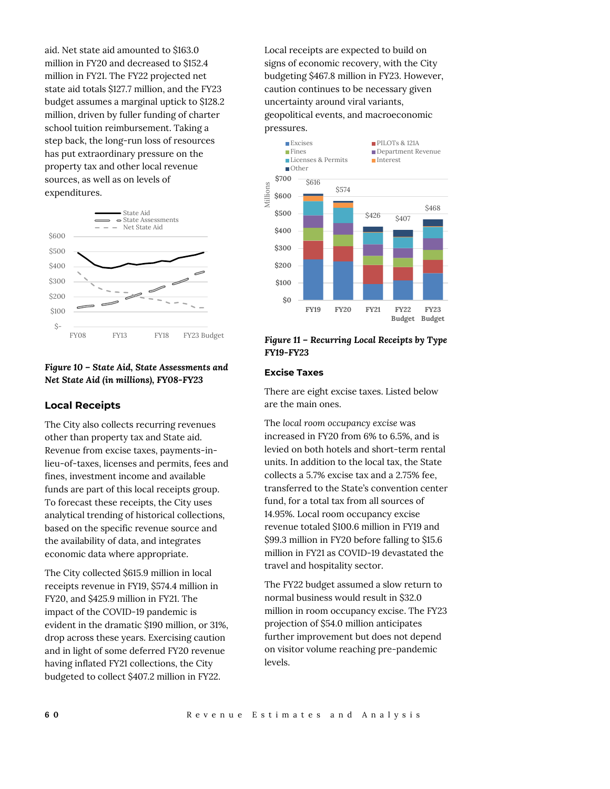aid. Net state aid amounted to \$163.0 million in FY20 and decreased to \$152.4 million in FY21. The FY22 projected net state aid totals \$127.7 million, and the FY23 budget assumes a marginal uptick to \$128.2 million, driven by fuller funding of charter school tuition reimbursement. Taking a step back, the long-run loss of resources has put extraordinary pressure on the property tax and other local revenue sources, as well as on levels of expenditures.



## *Figure 10 – State Aid, State Assessments and Net State Aid (in millions), FY08-FY23*

## **Local Receipts**

The City also collects recurring revenues other than property tax and State aid. Revenue from excise taxes, payments-inlieu-of-taxes, licenses and permits, fees and fines, investment income and available funds are part of this local receipts group. To forecast these receipts, the City uses analytical trending of historical collections, based on the specific revenue source and the availability of data, and integrates economic data where appropriate.

The City collected \$615.9 million in local receipts revenue in FY19, \$574.4 million in FY20, and \$425.9 million in FY21. The impact of the COVID-19 pandemic is evident in the dramatic \$190 million, or 31%, drop across these years. Exercising caution and in light of some deferred FY20 revenue having inflated FY21 collections, the City budgeted to collect \$407.2 million in FY22.

Local receipts are expected to build on signs of economic recovery, with the City budgeting \$467.8 million in FY23. However, caution continues to be necessary given uncertainty around viral variants, geopolitical events, and macroeconomic pressures.



## *Figure 11 – Recurring Local Receipts by Type FY19-FY23*

# **Excise Taxes**

There are eight excise taxes. Listed below are the main ones.

The *local room occupancy excise* was increased in FY20 from 6% to 6.5%, and is levied on both hotels and short-term rental units. In addition to the local tax, the State collects a 5.7% excise tax and a 2.75% fee, transferred to the State's convention center fund, for a total tax from all sources of 14.95%. Local room occupancy excise revenue totaled \$100.6 million in FY19 and \$99.3 million in FY20 before falling to \$15.6 million in FY21 as COVID-19 devastated the travel and hospitality sector.

The FY22 budget assumed a slow return to normal business would result in \$32.0 million in room occupancy excise. The FY23 projection of \$54.0 million anticipates further improvement but does not depend on visitor volume reaching pre-pandemic levels.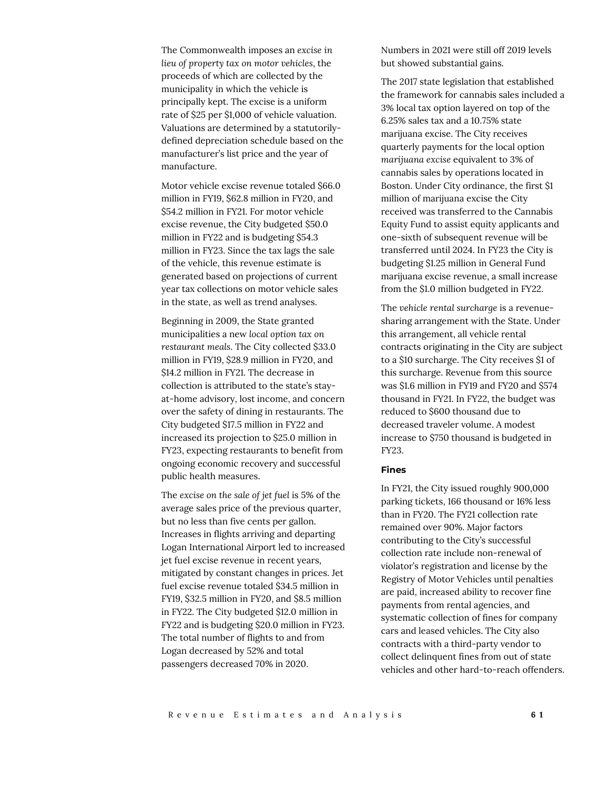The Commonwealth imposes an *excise in lieu of property tax on motor vehicles*, the proceeds of which are collected by the municipality in which the vehicle is principally kept. The excise is a uniform rate of \$25 per \$1,000 of vehicle valuation. Valuations are determined by a statutorilydefined depreciation schedule based on the manufacturer's list price and the year of manufacture.

Motor vehicle excise revenue totaled \$66.0 million in FY19, \$62.8 million in FY20, and \$54.2 million in FY21. For motor vehicle excise revenue, the City budgeted \$50.0 million in FY22 and is budgeting \$54.3 million in FY23. Since the tax lags the sale of the vehicle, this revenue estimate is generated based on projections of current year tax collections on motor vehicle sales in the state, as well as trend analyses.

Beginning in 2009, the State granted municipalities a new *local option tax on restaurant meals*. The City collected \$33.0 million in FY19, \$28.9 million in FY20, and \$14.2 million in FY21. The decrease in collection is attributed to the state's stayat-home advisory, lost income, and concern over the safety of dining in restaurants. The City budgeted \$17.5 million in FY22 and increased its projection to \$25.0 million in FY23, expecting restaurants to benefit from ongoing economic recovery and successful public health measures.

The *excise on the sale of jet fuel* is 5% of the average sales price of the previous quarter, but no less than five cents per gallon. Increases in flights arriving and departing Logan International Airport led to increased jet fuel excise revenue in recent years, mitigated by constant changes in prices. Jet fuel excise revenue totaled \$34.5 million in FY19, \$32.5 million in FY20, and \$8.5 million in FY22. The City budgeted \$12.0 million in FY22 and is budgeting \$20.0 million in FY23. The total number of flights to and from Logan decreased by 52% and total passengers decreased 70% in 2020.

Numbers in 2021 were still off 2019 levels but showed substantial gains.

The 2017 state legislation that established the framework for cannabis sales included a 3% local tax option layered on top of the 6.25% sales tax and a 10.75% state marijuana excise. The City receives quarterly payments for the local option *marijuana excise* equivalent to 3% of cannabis sales by operations located in Boston. Under City ordinance, the first \$1 million of marijuana excise the City received was transferred to the Cannabis Equity Fund to assist equity applicants and one-sixth of subsequent revenue will be transferred until 2024. In FY23 the City is budgeting \$1.25 million in General Fund marijuana excise revenue, a small increase from the \$1.0 million budgeted in FY22.

The *vehicle rental surcharge* is a revenuesharing arrangement with the State. Under this arrangement, all vehicle rental contracts originating in the City are subject to a \$10 surcharge. The City receives \$1 of this surcharge. Revenue from this source was \$1.6 million in FY19 and FY20 and \$574 thousand in FY21. In FY22, the budget was reduced to \$600 thousand due to decreased traveler volume. A modest increase to \$750 thousand is budgeted in FY23.

#### **Fines**

In FY21, the City issued roughly 900,000 parking tickets, 166 thousand or 16% less than in FY20. The FY21 collection rate remained over 90%. Major factors contributing to the City's successful collection rate include non-renewal of violator's registration and license by the Registry of Motor Vehicles until penalties are paid, increased ability to recover fine payments from rental agencies, and systematic collection of fines for company cars and leased vehicles. The City also contracts with a third-party vendor to collect delinquent fines from out of state vehicles and other hard-to-reach offenders.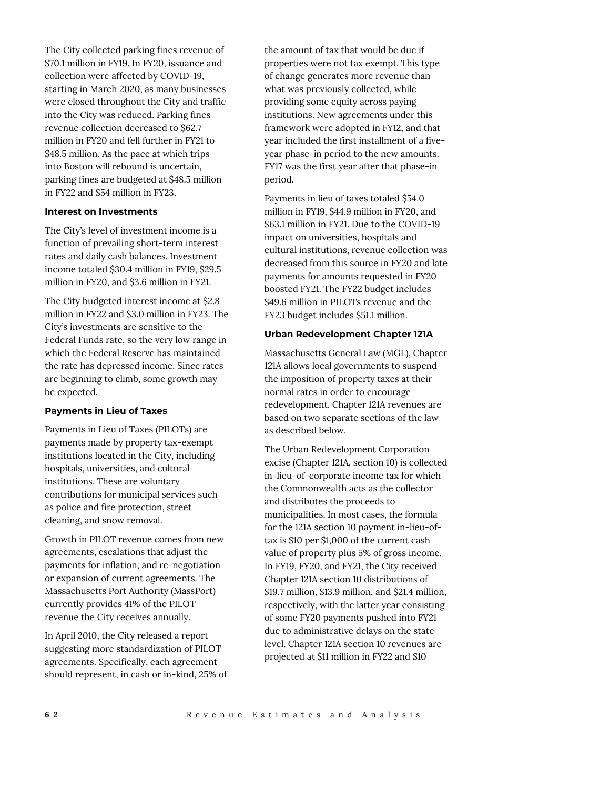The City collected parking fines revenue of \$70.1 million in FY19. In FY20, issuance and collection were affected by COVID-19, starting in March 2020, as many businesses were closed throughout the City and traffic into the City was reduced. Parking fines revenue collection decreased to \$62.7 million in FY20 and fell further in FY21 to \$48.5 million. As the pace at which trips into Boston will rebound is uncertain, parking fines are budgeted at \$48.5 million in FY22 and \$54 million in FY23.

#### **Interest on Investments**

The City's level of investment income is a function of prevailing short-term interest rates and daily cash balances. Investment income totaled \$30.4 million in FY19, \$29.5 million in FY20, and \$3.6 million in FY21.

The City budgeted interest income at \$2.8 million in FY22 and \$3.0 million in FY23. The City's investments are sensitive to the Federal Funds rate, so the very low range in which the Federal Reserve has maintained the rate has depressed income. Since rates are beginning to climb, some growth may be expected.

#### **Payments in Lieu of Taxes**

Payments in Lieu of Taxes (PILOTs) are payments made by property tax-exempt institutions located in the City, including hospitals, universities, and cultural institutions. These are voluntary contributions for municipal services such as police and fire protection, street cleaning, and snow removal.

Growth in PILOT revenue comes from new agreements, escalations that adjust the payments for inflation, and re-negotiation or expansion of current agreements. The Massachusetts Port Authority (MassPort) currently provides 41% of the PILOT revenue the City receives annually.

In April 2010, the City released a report suggesting more standardization of PILOT agreements. Specifically, each agreement should represent, in cash or in-kind, 25% of the amount of tax that would be due if properties were not tax exempt. This type of change generates more revenue than what was previously collected, while providing some equity across paying institutions. New agreements under this framework were adopted in FY12, and that year included the first installment of a fiveyear phase-in period to the new amounts. FY17 was the first year after that phase-in period.

Payments in lieu of taxes totaled \$54.0 million in FY19, \$44.9 million in FY20, and \$63.1 million in FY21. Due to the COVID-19 impact on universities, hospitals and cultural institutions, revenue collection was decreased from this source in FY20 and late payments for amounts requested in FY20 boosted FY21. The FY22 budget includes \$49.6 million in PILOTs revenue and the FY23 budget includes \$51.1 million.

#### **Urban Redevelopment Chapter 121A**

Massachusetts General Law (MGL), Chapter 121A allows local governments to suspend the imposition of property taxes at their normal rates in order to encourage redevelopment. Chapter 121A revenues are based on two separate sections of the law as described below.

The Urban Redevelopment Corporation excise (Chapter 121A, section 10) is collected in-lieu-of-corporate income tax for which the Commonwealth acts as the collector and distributes the proceeds to municipalities. In most cases, the formula for the 121A section 10 payment in-lieu-oftax is \$10 per \$1,000 of the current cash value of property plus 5% of gross income. In FY19, FY20, and FY21, the City received Chapter 121A section 10 distributions of \$19.7 million, \$13.9 million, and \$21.4 million, respectively, with the latter year consisting of some FY20 payments pushed into FY21 due to administrative delays on the state level. Chapter 121A section 10 revenues are projected at \$11 million in FY22 and \$10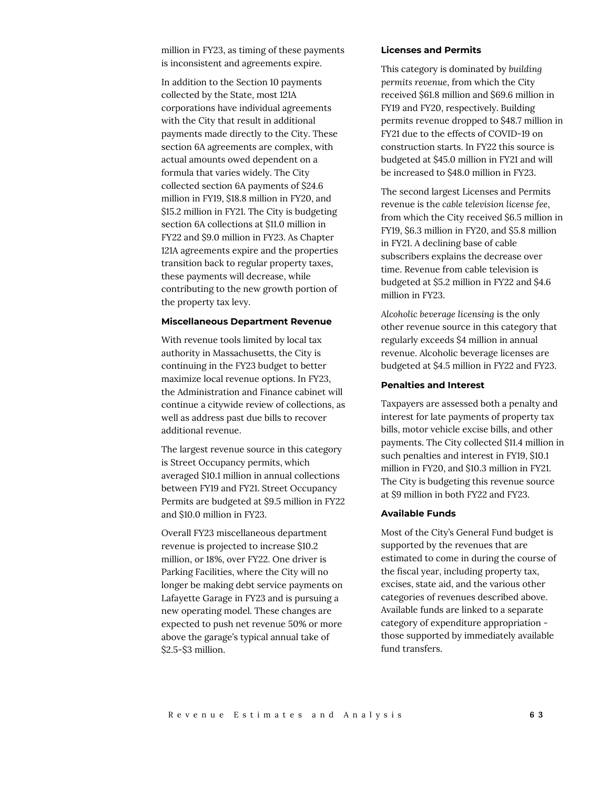million in FY23, as timing of these payments is inconsistent and agreements expire.

In addition to the Section 10 payments collected by the State, most 121A corporations have individual agreements with the City that result in additional payments made directly to the City. These section 6A agreements are complex, with actual amounts owed dependent on a formula that varies widely. The City collected section 6A payments of \$24.6 million in FY19, \$18.8 million in FY20, and \$15.2 million in FY21. The City is budgeting section 6A collections at \$11.0 million in FY22 and \$9.0 million in FY23. As Chapter 121A agreements expire and the properties transition back to regular property taxes, these payments will decrease, while contributing to the new growth portion of the property tax levy.

#### **Miscellaneous Department Revenue**

With revenue tools limited by local tax authority in Massachusetts, the City is continuing in the FY23 budget to better maximize local revenue options. In FY23, the Administration and Finance cabinet will continue a citywide review of collections, as well as address past due bills to recover additional revenue.

The largest revenue source in this category is Street Occupancy permits, which averaged \$10.1 million in annual collections between FY19 and FY21. Street Occupancy Permits are budgeted at \$9.5 million in FY22 and \$10.0 million in FY23.

Overall FY23 miscellaneous department revenue is projected to increase \$10.2 million, or 18%, over FY22. One driver is Parking Facilities, where the City will no longer be making debt service payments on Lafayette Garage in FY23 and is pursuing a new operating model. These changes are expected to push net revenue 50% or more above the garage's typical annual take of \$2.5-\$3 million.

#### **Licenses and Permits**

This category is dominated by *building permits revenue*, from which the City received \$61.8 million and \$69.6 million in FY19 and FY20, respectively. Building permits revenue dropped to \$48.7 million in FY21 due to the effects of COVID-19 on construction starts. In FY22 this source is budgeted at \$45.0 million in FY21 and will be increased to \$48.0 million in FY23.

The second largest Licenses and Permits revenue is the *cable television license fee*, from which the City received \$6.5 million in FY19, \$6.3 million in FY20, and \$5.8 million in FY21. A declining base of cable subscribers explains the decrease over time. Revenue from cable television is budgeted at \$5.2 million in FY22 and \$4.6 million in FY23.

*Alcoholic beverage licensing* is the only other revenue source in this category that regularly exceeds \$4 million in annual revenue. Alcoholic beverage licenses are budgeted at \$4.5 million in FY22 and FY23.

#### **Penalties and Interest**

Taxpayers are assessed both a penalty and interest for late payments of property tax bills, motor vehicle excise bills, and other payments. The City collected \$11.4 million in such penalties and interest in FY19, \$10.1 million in FY20, and \$10.3 million in FY21. The City is budgeting this revenue source at \$9 million in both FY22 and FY23.

#### **Available Funds**

Most of the City's General Fund budget is supported by the revenues that are estimated to come in during the course of the fiscal year, including property tax, excises, state aid, and the various other categories of revenues described above. Available funds are linked to a separate category of expenditure appropriation those supported by immediately available fund transfers.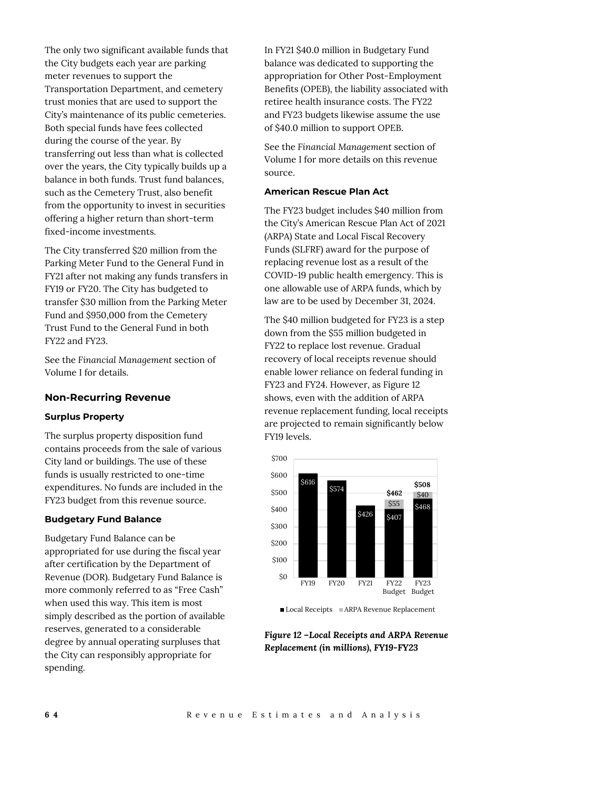The only two significant available funds that the City budgets each year are parking meter revenues to support the Transportation Department, and cemetery trust monies that are used to support the City's maintenance of its public cemeteries. Both special funds have fees collected during the course of the year. By transferring out less than what is collected over the years, the City typically builds up a balance in both funds. Trust fund balances, such as the Cemetery Trust, also benefit from the opportunity to invest in securities offering a higher return than short-term fixed-income investments.

The City transferred \$20 million from the Parking Meter Fund to the General Fund in FY21 after not making any funds transfers in FY19 or FY20. The City has budgeted to transfer \$30 million from the Parking Meter Fund and \$950,000 from the Cemetery Trust Fund to the General Fund in both FY22 and FY23.

See the *Financial Management* section of Volume I for details.

## **Non-Recurring Revenue**

#### **Surplus Property**

The surplus property disposition fund contains proceeds from the sale of various City land or buildings. The use of these funds is usually restricted to one-time expenditures. No funds are included in the FY23 budget from this revenue source.

#### **Budgetary Fund Balance**

Budgetary Fund Balance can be appropriated for use during the fiscal year after certification by the Department of Revenue (DOR). Budgetary Fund Balance is more commonly referred to as "Free Cash" when used this way. This item is most simply described as the portion of available reserves, generated to a considerable degree by annual operating surpluses that the City can responsibly appropriate for spending.

In FY21 \$40.0 million in Budgetary Fund balance was dedicated to supporting the appropriation for Other Post-Employment Benefits (OPEB), the liability associated with retiree health insurance costs. The FY22 and FY23 budgets likewise assume the use of \$40.0 million to support OPEB.

See the *Financial Management* section of Volume I for more details on this revenue source.

#### **American Rescue Plan Act**

The FY23 budget includes \$40 million from the City's American Rescue Plan Act of 2021 (ARPA) State and Local Fiscal Recovery Funds (SLFRF) award for the purpose of replacing revenue lost as a result of the COVID-19 public health emergency. This is one allowable use of ARPA funds, which by law are to be used by December 31, 2024.

The \$40 million budgeted for FY23 is a step down from the \$55 million budgeted in FY22 to replace lost revenue. Gradual recovery of local receipts revenue should enable lower reliance on federal funding in FY23 and FY24. However, as Figure 12 shows, even with the addition of ARPA revenue replacement funding, local receipts are projected to remain significantly below FY19 levels.



Local Receipts ARPA Revenue Replacement

*Figure 12 –Local Receipts and ARPA Revenue Replacement (in millions), FY19-FY23*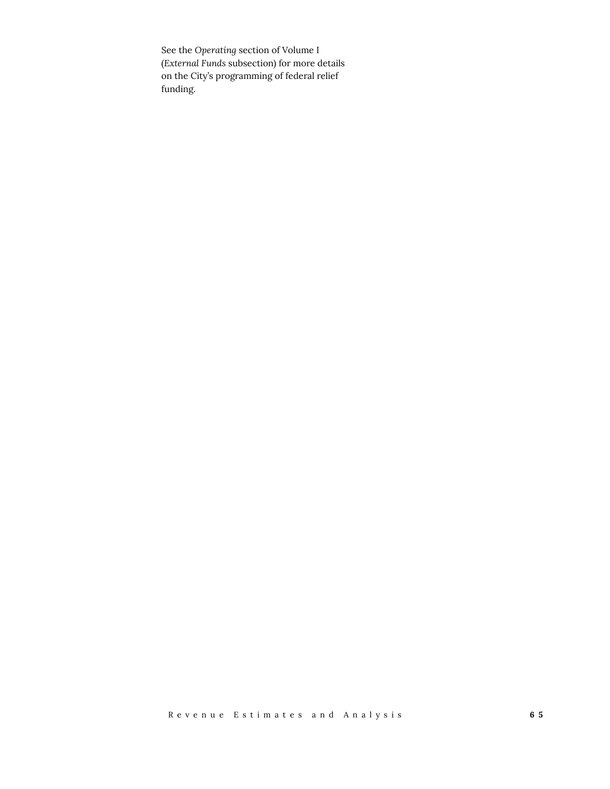See the *Operating* section of Volume I (*External Funds* subsection) for more details on the City's programming of federal relief funding.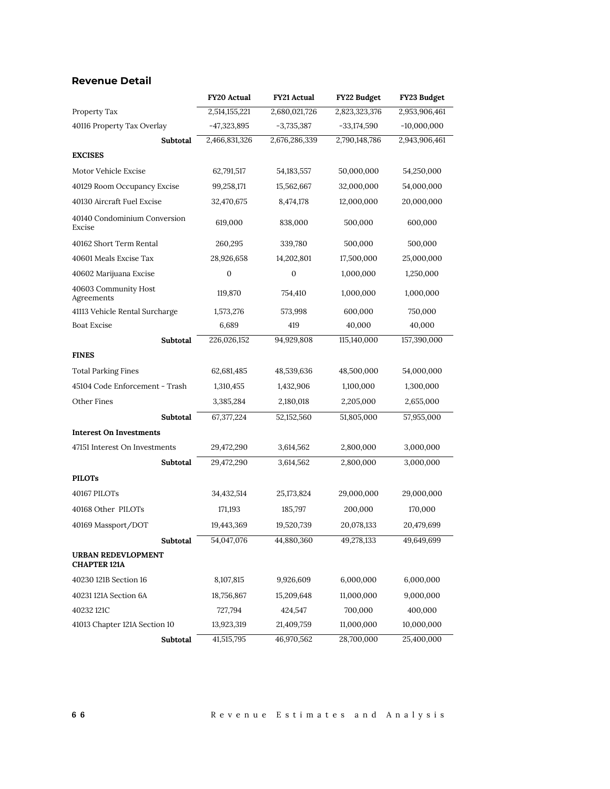# **Revenue Detail**

|                                           | <b>FY20 Actual</b> | <b>FY21 Actual</b> | FY22 Budget   | FY23 Budget   |
|-------------------------------------------|--------------------|--------------------|---------------|---------------|
| Property Tax                              | 2,514,155,221      | 2,680,021,726      | 2,823,323,376 | 2,953,906,461 |
| 40116 Property Tax Overlay                | $-47,323,895$      | $-3,735,387$       | $-33,174,590$ | $-10,000,000$ |
| Subtotal                                  | 2,466,831,326      | 2,676,286,339      | 2,790,148,786 | 2,943,906,461 |
| <b>EXCISES</b>                            |                    |                    |               |               |
| Motor Vehicle Excise                      | 62,791,517         | 54, 183, 557       | 50,000,000    | 54,250,000    |
| 40129 Room Occupancy Excise               | 99,258,171         | 15,562,667         | 32,000,000    | 54,000,000    |
| 40130 Aircraft Fuel Excise                | 32,470,675         | 8,474,178          | 12,000,000    | 20,000,000    |
| 40140 Condominium Conversion<br>Excise    | 619,000            | 838,000            | 500,000       | 600,000       |
| 40162 Short Term Rental                   | 260,295            | 339,780            | 500,000       | 500,000       |
| 40601 Meals Excise Tax                    | 28,926,658         | 14,202,801         | 17,500,000    | 25,000,000    |
| 40602 Marijuana Excise                    | 0                  | 0                  | 1,000,000     | 1,250,000     |
| 40603 Community Host<br>Agreements        | 119,870            | 754,410            | 1,000,000     | 1,000,000     |
| 41113 Vehicle Rental Surcharge            | 1,573,276          | 573,998            | 600,000       | 750,000       |
| <b>Boat Excise</b>                        | 6,689              | 419                | 40,000        | 40,000        |
| Subtotal                                  | 226,026,152        | 94,929,808         | 115,140,000   | 157,390,000   |
| <b>FINES</b>                              |                    |                    |               |               |
| <b>Total Parking Fines</b>                | 62,681,485         | 48,539,636         | 48,500,000    | 54,000,000    |
| 45104 Code Enforcement - Trash            | 1,310,455          | 1,432,906          | 1,100,000     | 1,300,000     |
| Other Fines                               | 3,385,284          | 2,180,018          | 2,205,000     | 2,655,000     |
| Subtotal                                  | 67,377,224         | 52,152,560         | 51,805,000    | 57,955,000    |
| <b>Interest On Investments</b>            |                    |                    |               |               |
| 47151 Interest On Investments             | 29,472,290         | 3,614,562          | 2,800,000     | 3,000,000     |
| Subtotal                                  | 29,472,290         | 3,614,562          | 2,800,000     | 3,000,000     |
| <b>PILOTs</b>                             |                    |                    |               |               |
| 40167 PILOTs                              | 34,432,514         | 25,173,824         | 29,000,000    | 29,000,000    |
| 40168 Other PILOTs                        | 171,193            | 185,797            | 200,000       | 170,000       |
| 40169 Massport/DOT                        | 19,443,369         | 19,520,739         | 20,078,133    | 20,479,699    |
| Subtotal                                  | 54,047,076         | 44,880,360         | 49,278,133    | 49,649,699    |
| URBAN REDEVLOPMENT<br><b>CHAPTER 121A</b> |                    |                    |               |               |
| 40230 121B Section 16                     | 8,107,815          | 9,926,609          | 6,000,000     | 6,000,000     |
| 40231 121A Section 6A                     | 18,756,867         | 15,209,648         | 11,000,000    | 9,000,000     |
| 40232 121C                                | 727,794            | 424,547            | 700,000       | 400,000       |
| 41013 Chapter 121A Section 10             | 13,923,319         | 21,409,759         | 11,000,000    | 10,000,000    |
| Subtotal                                  | 41,515,795         | 46,970,562         | 28,700,000    | 25,400,000    |

**6 6** Revenue Estimates and Analysis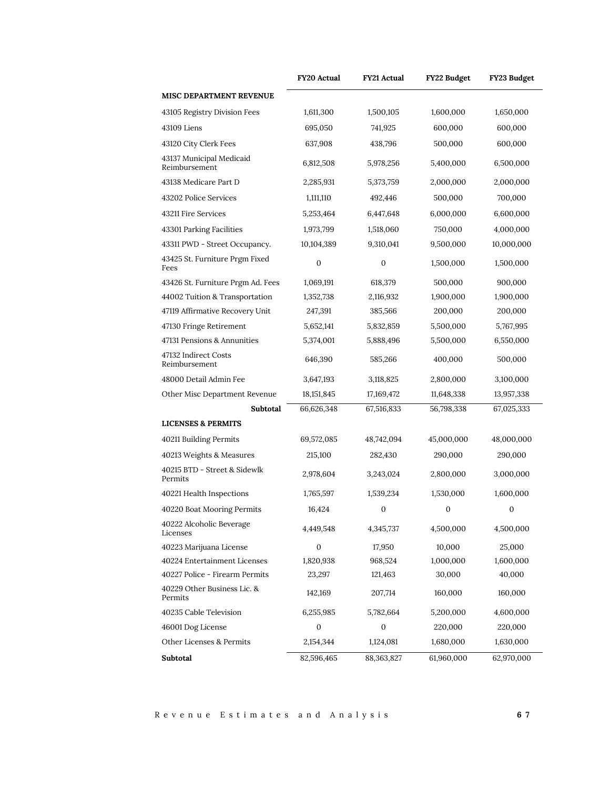|                                           | FY20 Actual  | <b>FY21 Actual</b> | FY22 Budget  | FY23 Budget      |
|-------------------------------------------|--------------|--------------------|--------------|------------------|
| <b>MISC DEPARTMENT REVENUE</b>            |              |                    |              |                  |
| 43105 Registry Division Fees              | 1,611,300    | 1,500,105          | 1,600,000    | 1,650,000        |
| 43109 Liens                               | 695,050      | 741,925            | 600,000      | 600,000          |
| 43120 City Clerk Fees                     | 637,908      | 438,796            | 500,000      | 600,000          |
| 43137 Municipal Medicaid<br>Reimbursement | 6,812,508    | 5,978,256          | 5,400,000    | 6,500,000        |
| 43138 Medicare Part D                     | 2,285,931    | 5,373,759          | 2,000,000    | 2,000,000        |
| 43202 Police Services                     | 1,111,110    | 492,446            | 500,000      | 700,000          |
| 43211 Fire Services                       | 5,253,464    | 6,447,648          | 6,000,000    | 6,600,000        |
| 43301 Parking Facilities                  | 1,973,799    | 1,518,060          | 750,000      | 4,000,000        |
| 43311 PWD - Street Occupancy.             | 10,104,389   | 9,310,041          | 9,500,000    | 10,000,000       |
| 43425 St. Furniture Prgm Fixed<br>Fees    | $\mathbf{0}$ | $\mathbf{0}$       | 1,500,000    | 1,500,000        |
| 43426 St. Furniture Prgm Ad. Fees         | 1,069,191    | 618,379            | 500,000      | 900,000          |
| 44002 Tuition & Transportation            | 1,352,738    | 2,116,932          | 1,900,000    | 1,900,000        |
| 47119 Affirmative Recovery Unit           | 247,391      | 385,566            | 200,000      | 200,000          |
| 47130 Fringe Retirement                   | 5,652,141    | 5,832,859          | 5,500,000    | 5,767,995        |
| 47131 Pensions & Annunities               | 5,374,001    | 5,888,496          | 5,500,000    | 6,550,000        |
| 47132 Indirect Costs<br>Reimbursement     | 646,390      | 585,266            | 400,000      | 500,000          |
| 48000 Detail Admin Fee                    | 3,647,193    | 3,118,825          | 2,800,000    | 3,100,000        |
| Other Misc Department Revenue             | 18, 151, 845 | 17,169,472         | 11,648,338   | 13,957,338       |
| Subtotal                                  | 66,626,348   | 67,516,833         | 56,798,338   | 67,025,333       |
| <b>LICENSES &amp; PERMITS</b>             |              |                    |              |                  |
| 40211 Building Permits                    | 69,572,085   | 48,742,094         | 45,000,000   | 48,000,000       |
| 40213 Weights & Measures                  | 215,100      | 282,430            | 290,000      | 290,000          |
| 40215 BTD - Street & Sidewlk<br>Permits   | 2,978,604    | 3,243,024          | 2,800,000    | 3,000,000        |
| 40221 Health Inspections                  | 1,765,597    | 1,539,234          | 1,530,000    | 1,600,000        |
| 40220 Boat Mooring Permits                | 16,424       | 0                  | $\mathbf{0}$ | $\boldsymbol{0}$ |
| 40222 Alcoholic Beverage<br>Licenses      | 4,449,548    | 4,345,737          | 4,500,000    | 4,500,000        |
| 40223 Marijuana License                   | $\mathbf{0}$ | 17,950             | 10,000       | 25,000           |
| 40224 Entertainment Licenses              | 1,820,938    | 968,524            | 1,000,000    | 1,600,000        |
| 40227 Police - Firearm Permits            | 23,297       | 121,463            | 30,000       | 40,000           |
| 40229 Other Business Lic. &<br>Permits    | 142,169      | 207,714            | 160,000      | 160,000          |
| 40235 Cable Television                    | 6,255,985    | 5,782,664          | 5,200,000    | 4,600,000        |
| 46001 Dog License                         | $\mathbf{0}$ | 0                  | 220,000      | 220,000          |
| Other Licenses & Permits                  | 2,154,344    | 1,124,081          | 1,680,000    | 1,630,000        |
| Subtotal                                  | 82,596,465   | 88,363,827         | 61,960,000   | 62,970,000       |

Revenu e Estimates and Analysis **6 7**